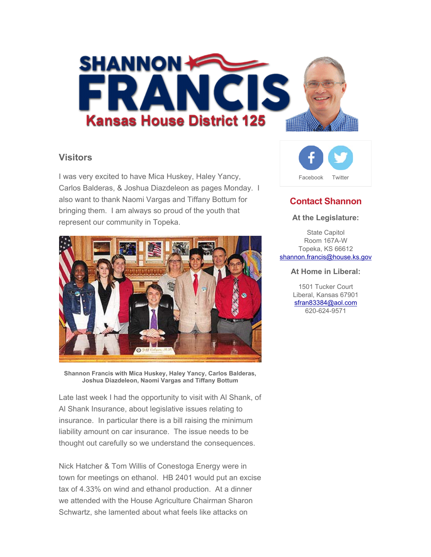

### **Visitors**

I was very excited to have Mica Huskey, Haley Yancy, Carlos Balderas, & Joshua Diazdeleon as pages Monday. I also want to thank Naomi Vargas and Tiffany Bottum for bringing them. I am always so proud of the youth that represent our community in Topeka.



**Shannon Francis with Mica Huskey, Haley Yancy, Carlos Balderas, Joshua Diazdeleon, Naomi Vargas and Tiffany Bottum**

Late last week I had the opportunity to visit with Al Shank, of Al Shank Insurance, about legislative issues relating to insurance. In particular there is a bill raising the minimum liability amount on car insurance. The issue needs to be thought out carefully so we understand the consequences.

Nick Hatcher & Tom Willis of Conestoga Energy were in town for meetings on ethanol. HB 2401 would put an excise tax of 4.33% on wind and ethanol production. At a dinner we attended with the House Agriculture Chairman Sharon Schwartz, she lamented about what feels like attacks on



# **Contact Shannon**

#### **At the Legislature:**

State Capitol Room 167A-W Topeka, KS 66612 shannon.francis@house.ks.gov

#### **At Home in Liberal:**

1501 Tucker Court Liberal, Kansas 67901 sfran83384@aol.com 620-624-9571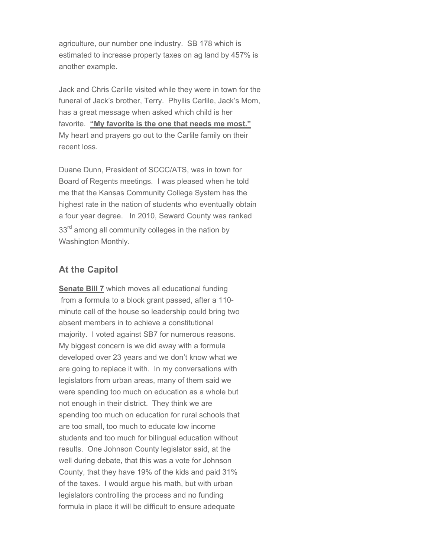agriculture, our number one industry. SB 178 which is estimated to increase property taxes on ag land by 457% is another example.

Jack and Chris Carlile visited while they were in town for the funeral of Jack's brother, Terry. Phyllis Carlile, Jack's Mom, has a great message when asked which child is her favorite. **"My favorite is the one that needs me most."** My heart and prayers go out to the Carlile family on their recent loss.

Duane Dunn, President of SCCC/ATS, was in town for Board of Regents meetings. I was pleased when he told me that the Kansas Community College System has the highest rate in the nation of students who eventually obtain a four year degree. In 2010, Seward County was ranked 33<sup>rd</sup> among all community colleges in the nation by Washington Monthly.

## **At the Capitol**

**Senate Bill 7** which moves all educational funding from a formula to a block grant passed, after a 110 minute call of the house so leadership could bring two absent members in to achieve a constitutional majority. I voted against SB7 for numerous reasons. My biggest concern is we did away with a formula developed over 23 years and we don't know what we are going to replace it with. In my conversations with legislators from urban areas, many of them said we were spending too much on education as a whole but not enough in their district. They think we are spending too much on education for rural schools that are too small, too much to educate low income students and too much for bilingual education without results. One Johnson County legislator said, at the well during debate, that this was a vote for Johnson County, that they have 19% of the kids and paid 31% of the taxes. I would argue his math, but with urban legislators controlling the process and no funding formula in place it will be difficult to ensure adequate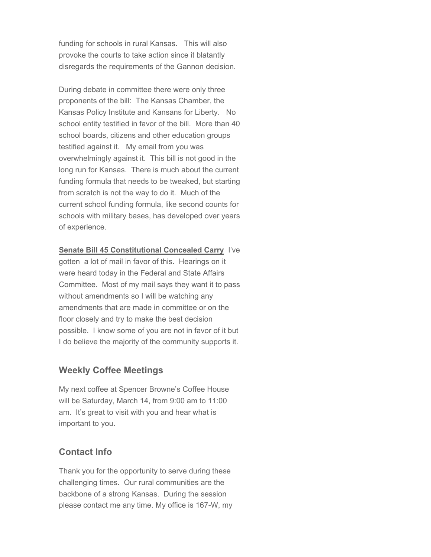funding for schools in rural Kansas. This will also provoke the courts to take action since it blatantly disregards the requirements of the Gannon decision.

During debate in committee there were only three proponents of the bill: The Kansas Chamber, the Kansas Policy Institute and Kansans for Liberty. No school entity testified in favor of the bill. More than 40 school boards, citizens and other education groups testified against it. My email from you was overwhelmingly against it. This bill is not good in the long run for Kansas. There is much about the current funding formula that needs to be tweaked, but starting from scratch is not the way to do it. Much of the current school funding formula, like second counts for schools with military bases, has developed over years of experience.

**Senate Bill 45 Constitutional Concealed Carry** I've gotten a lot of mail in favor of this. Hearings on it were heard today in the Federal and State Affairs Committee. Most of my mail says they want it to pass without amendments so I will be watching any amendments that are made in committee or on the floor closely and try to make the best decision possible. I know some of you are not in favor of it but I do believe the majority of the community supports it.

#### **Weekly Coffee Meetings**

My next coffee at Spencer Browne's Coffee House will be Saturday, March 14, from 9:00 am to 11:00 am. It's great to visit with you and hear what is important to you.

## **Contact Info**

Thank you for the opportunity to serve during these challenging times. Our rural communities are the backbone of a strong Kansas. During the session please contact me any time. My office is 167-W, my